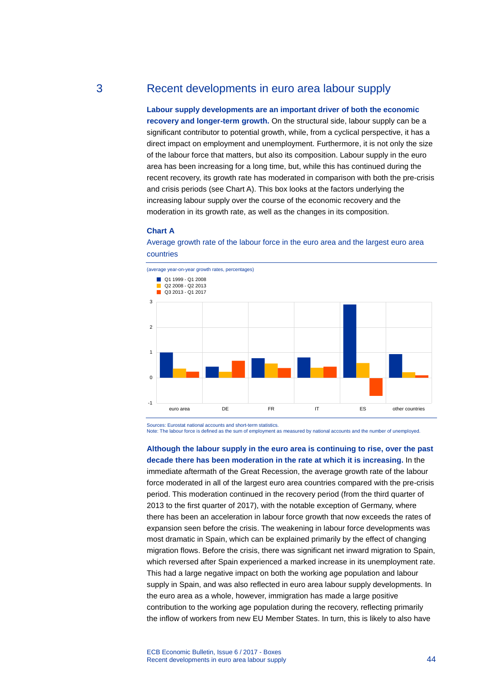# 3 Recent developments in euro area labour supply

**Labour supply developments are an important driver of both the economic recovery and longer-term growth.** On the structural side, labour supply can be a significant contributor to potential growth, while, from a cyclical perspective, it has a direct impact on employment and unemployment. Furthermore, it is not only the size of the labour force that matters, but also its composition. Labour supply in the euro area has been increasing for a long time, but, while this has continued during the recent recovery, its growth rate has moderated in comparison with both the pre-crisis and crisis periods (see Chart A). This box looks at the factors underlying the increasing labour supply over the course of the economic recovery and the moderation in its growth rate, as well as the changes in its composition.

#### **Chart A**





Sources: Eurostat national accounts and short-term statistics. Note: The labour force is defined as the sum of employment as measured by national accounts and the number of unemployed.

**Although the labour supply in the euro area is continuing to rise, over the past decade there has been moderation in the rate at which it is increasing.** In the immediate aftermath of the Great Recession, the average growth rate of the labour force moderated in all of the largest euro area countries compared with the pre-crisis period. This moderation continued in the recovery period (from the third quarter of 2013 to the first quarter of 2017), with the notable exception of Germany, where there has been an acceleration in labour force growth that now exceeds the rates of expansion seen before the crisis. The weakening in labour force developments was most dramatic in Spain, which can be explained primarily by the effect of changing migration flows. Before the crisis, there was significant net inward migration to Spain, which reversed after Spain experienced a marked increase in its unemployment rate. This had a large negative impact on both the working age population and labour supply in Spain, and was also reflected in euro area labour supply developments. In the euro area as a whole, however, immigration has made a large positive contribution to the working age population during the recovery, reflecting primarily the inflow of workers from new EU Member States. In turn, this is likely to also have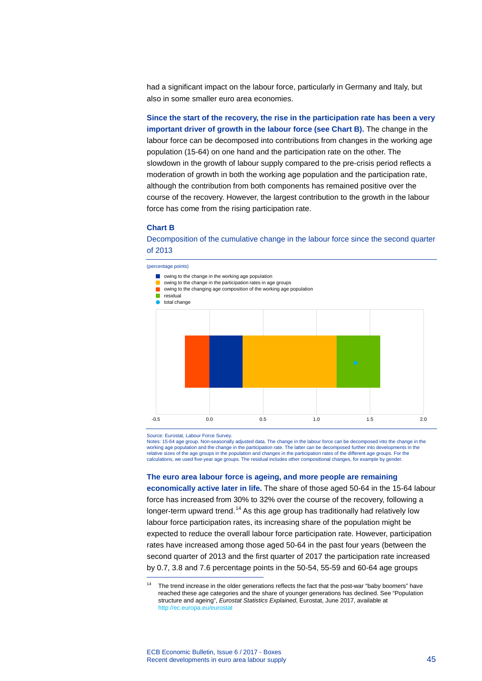had a significant impact on the labour force, particularly in Germany and Italy, but also in some smaller euro area economies.

**Since the start of the recovery, the rise in the participation rate has been a very important driver of growth in the labour force (see Chart B).** The change in the labour force can be decomposed into contributions from changes in the working age population (15-64) on one hand and the participation rate on the other. The slowdown in the growth of labour supply compared to the pre-crisis period reflects a moderation of growth in both the working age population and the participation rate, although the contribution from both components has remained positive over the course of the recovery. However, the largest contribution to the growth in the labour force has come from the rising participation rate.

### **Chart B**

Decomposition of the cumulative change in the labour force since the second quarter of 2013

(percentage points)



Source: Eurostat, Labour Force Survey.

-

Notes: 15-64 age group. Non-seasonally adjusted data. The change in the labour force can be decomposed into the change in the working age population and the change in the participation rate. The latter can be decomposed further into developments in the relative sizes of the age groups in the population and changes in the participation rates of the different age groups. For the calculations, we used five-year age groups. The residual includes other compositional changes, for example by gender.

**The euro area labour force is ageing, and more people are remaining** 

**economically active later in life.** The share of those aged 50-64 in the 15-64 labour force has increased from 30% to 32% over the course of the recovery, following a longer-term upward trend.<sup>[14](#page-1-0)</sup> As this age group has traditionally had relatively low labour force participation rates, its increasing share of the population might be expected to reduce the overall labour force participation rate. However, participation rates have increased among those aged 50-64 in the past four years (between the second quarter of 2013 and the first quarter of 2017 the participation rate increased by 0.7, 3.8 and 7.6 percentage points in the 50-54, 55-59 and 60-64 age groups

<span id="page-1-0"></span><sup>&</sup>lt;sup>14</sup> The trend increase in the older generations reflects the fact that the post-war "baby boomers" have reached these age categories and the share of younger generations has declined. See "Population structure and ageing", *Eurostat Statistics Explained*, Eurostat, June 2017, available at [http://ec.europa.eu/eurostat](http://ec.europa.eu/eurostat/statistics-explained/index.php/Population_structure_and_ageing)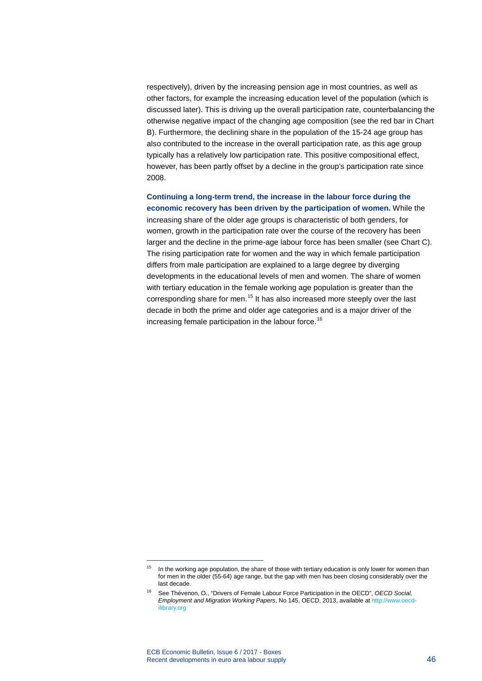respectively), driven by the increasing pension age in most countries, as well as other factors, for example the increasing education level of the population (which is discussed later). This is driving up the overall participation rate, counterbalancing the otherwise negative impact of the changing age composition (see the red bar in Chart B). Furthermore, the declining share in the population of the 15-24 age group has also contributed to the increase in the overall participation rate, as this age group typically has a relatively low participation rate. This positive compositional effect, however, has been partly offset by a decline in the group's participation rate since 2008.

**Continuing a long-term trend, the increase in the labour force during the economic recovery has been driven by the participation of women.** While the increasing share of the older age groups is characteristic of both genders, for women, growth in the participation rate over the course of the recovery has been larger and the decline in the prime-age labour force has been smaller (see Chart C). The rising participation rate for women and the way in which female participation differs from male participation are explained to a large degree by diverging developments in the educational levels of men and women. The share of women with tertiary education in the female working age population is greater than the corresponding share for men.<sup>[15](#page-2-0)</sup> It has also increased more steeply over the last decade in both the prime and older age categories and is a major driver of the increasing female participation in the labour force.<sup>[16](#page-2-1)</sup>

-

<span id="page-2-0"></span><sup>&</sup>lt;sup>15</sup> In the working age population, the share of those with tertiary education is only lower for women than for men in the older (55-64) age range, but the gap with men has been closing considerably over the last decade.

<span id="page-2-1"></span><sup>16</sup> See Thévenon, O., "Drivers of Female Labour Force Participation in the OECD", *OECD Social, Employment and Migration Working Papers*, No 145, OECD, 2013, available a[t http://www.oecd](http://www.oecd-ilibrary.org/social-issues-migration-health/drivers-of-female-labour-force-participation-in-the-oecd_5k46cvrgnms6-en;jsessionid=6vggtmgrrei75.x-oecd-live-03)[ilibrary.org](http://www.oecd-ilibrary.org/social-issues-migration-health/drivers-of-female-labour-force-participation-in-the-oecd_5k46cvrgnms6-en;jsessionid=6vggtmgrrei75.x-oecd-live-03)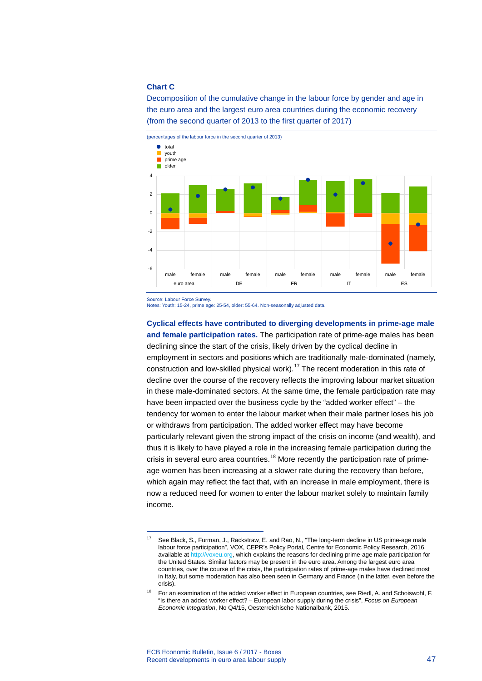### **Chart C**

Decomposition of the cumulative change in the labour force by gender and age in the euro area and the largest euro area countries during the economic recovery (from the second quarter of 2013 to the first quarter of 2017)



Source: Labour Force Survey.

<span id="page-3-0"></span>-

Notes: Youth: 15-24, prime age: 25-54, older: 55-64. Non-seasonally adjusted data.

**Cyclical effects have contributed to diverging developments in prime-age male and female participation rates.** The participation rate of prime-age males has been declining since the start of the crisis, likely driven by the cyclical decline in employment in sectors and positions which are traditionally male-dominated (namely, construction and low-skilled physical work).[17](#page-3-0) The recent moderation in this rate of decline over the course of the recovery reflects the improving labour market situation in these male-dominated sectors. At the same time, the female participation rate may have been impacted over the business cycle by the "added worker effect" – the tendency for women to enter the labour market when their male partner loses his job or withdraws from participation. The added worker effect may have become particularly relevant given the strong impact of the crisis on income (and wealth), and thus it is likely to have played a role in the increasing female participation during the crisis in several euro area countries.<sup>[18](#page-3-1)</sup> More recently the participation rate of primeage women has been increasing at a slower rate during the recovery than before, which again may reflect the fact that, with an increase in male employment, there is now a reduced need for women to enter the labour market solely to maintain family income.

See Black, S., Furman, J., Rackstraw, E. and Rao, N., "The long-term decline in US prime-age male labour force participation", VOX, CEPR's Policy Portal, Centre for Economic Policy Research, 2016, available a[t http://voxeu.org,](http://voxeu.org/article/long-term-decline-us-prime-age-male-labour-force-participation-and-policies-address-it) which explains the reasons for declining prime-age male participation for the United States. Similar factors may be present in the euro area. Among the largest euro area countries, over the course of the crisis, the participation rates of prime-age males have declined most in Italy, but some moderation has also been seen in Germany and France (in the latter, even before the crisis).

<span id="page-3-1"></span><sup>&</sup>lt;sup>18</sup> For an examination of the added worker effect in European countries, see Riedl, A. and Schoiswohl, F. "Is there an added worker effect? – European labor supply during the crisis", *Focus on European Economic Integration*, No Q4/15, Oesterreichische Nationalbank, 2015.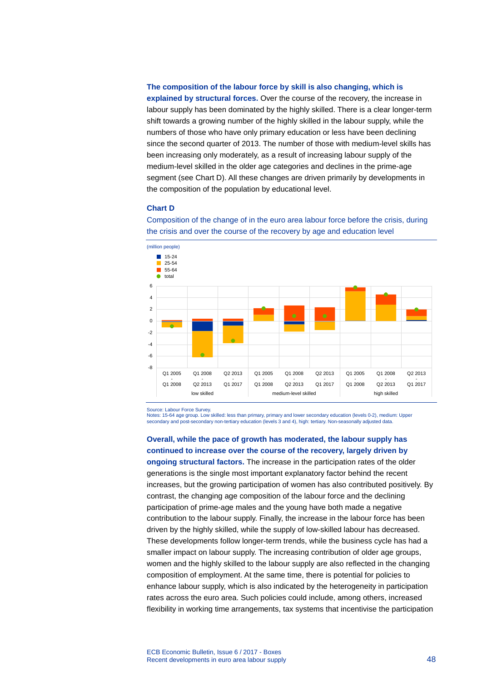#### **The composition of the labour force by skill is also changing, which is**

**explained by structural forces.** Over the course of the recovery, the increase in labour supply has been dominated by the highly skilled. There is a clear longer-term shift towards a growing number of the highly skilled in the labour supply, while the numbers of those who have only primary education or less have been declining since the second quarter of 2013. The number of those with medium-level skills has been increasing only moderately, as a result of increasing labour supply of the medium-level skilled in the older age categories and declines in the prime-age segment (see Chart D). All these changes are driven primarily by developments in the composition of the population by educational level.

## **Chart D**

Composition of the change of in the euro area labour force before the crisis, during the crisis and over the course of the recovery by age and education level



Source: Labour Force Survey. Notes: 15-64 age group. Low skilled: less than primary, primary and lower secondary education (levels 0-2), medium: Upper secondary and post-secondary non-tertiary education (levels 3 and 4), high: tertiary. Non-seasonally adjusted data.

**Overall, while the pace of growth has moderated, the labour supply has continued to increase over the course of the recovery, largely driven by ongoing structural factors.** The increase in the participation rates of the older generations is the single most important explanatory factor behind the recent increases, but the growing participation of women has also contributed positively. By contrast, the changing age composition of the labour force and the declining participation of prime-age males and the young have both made a negative contribution to the labour supply. Finally, the increase in the labour force has been driven by the highly skilled, while the supply of low-skilled labour has decreased. These developments follow longer-term trends, while the business cycle has had a smaller impact on labour supply. The increasing contribution of older age groups, women and the highly skilled to the labour supply are also reflected in the changing composition of employment. At the same time, there is potential for policies to enhance labour supply, which is also indicated by the heterogeneity in participation rates across the euro area. Such policies could include, among others, increased flexibility in working time arrangements, tax systems that incentivise the participation